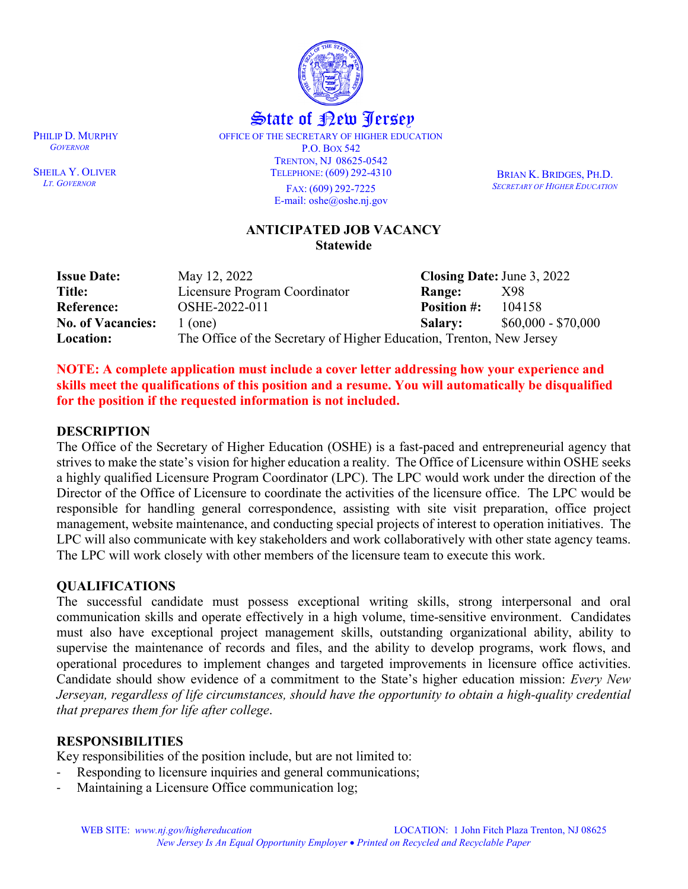

# State of <u>Pew Perse</u>y

OFFICE OF THE SECRETARY OF HIGHER EDUCATION P.O. BOX 542 TRENTON, NJ 08625-0542 TELEPHONE: (609) 292-4310 FAX: (609) 292-7225 E-mail: oshe@oshe.nj.gov

BRIAN K. BRIDGES, PH.D. *SECRETARY OF HIGHER EDUCATION*

#### **ANTICIPATED JOB VACANCY Statewide**

| <b>Issue Date:</b>       | May 12, 2022                                                         | Closing Date: June 3, 2022 |                     |
|--------------------------|----------------------------------------------------------------------|----------------------------|---------------------|
| Title:                   | Licensure Program Coordinator                                        | <b>Range:</b>              | X98                 |
| <b>Reference:</b>        | OSHE-2022-011                                                        | <b>Position #:</b>         | 104158              |
| <b>No. of Vacancies:</b> | $1$ (one)                                                            | <b>Salary:</b>             | $$60,000 - $70,000$ |
| Location:                | The Office of the Secretary of Higher Education, Trenton, New Jersey |                            |                     |

**NOTE: A complete application must include a cover letter addressing how your experience and skills meet the qualifications of this position and a resume. You will automatically be disqualified for the position if the requested information is not included.**

#### **DESCRIPTION**

The Office of the Secretary of Higher Education (OSHE) is a fast-paced and entrepreneurial agency that strives to make the state's vision for higher education a reality. The Office of Licensure within OSHE seeks a highly qualified Licensure Program Coordinator (LPC). The LPC would work under the direction of the Director of the Office of Licensure to coordinate the activities of the licensure office. The LPC would be responsible for handling general correspondence, assisting with site visit preparation, office project management, website maintenance, and conducting special projects of interest to operation initiatives. The LPC will also communicate with key stakeholders and work collaboratively with other state agency teams. The LPC will work closely with other members of the licensure team to execute this work.

#### **QUALIFICATIONS**

The successful candidate must possess exceptional writing skills, strong interpersonal and oral communication skills and operate effectively in a high volume, time-sensitive environment. Candidates must also have exceptional project management skills, outstanding organizational ability, ability to supervise the maintenance of records and files, and the ability to develop programs, work flows, and operational procedures to implement changes and targeted improvements in licensure office activities. Candidate should show evidence of a commitment to the State's higher education mission: *Every New Jerseyan, regardless of life circumstances, should have the opportunity to obtain a high-quality credential that prepares them for life after college*.

#### **RESPONSIBILITIES**

Key responsibilities of the position include, but are not limited to:

- Responding to licensure inquiries and general communications;
- Maintaining a Licensure Office communication log;

PHILIP D. MURPHY  *GOVERNOR*

SHEILA Y. OLIVER *LT. GOVERNOR*